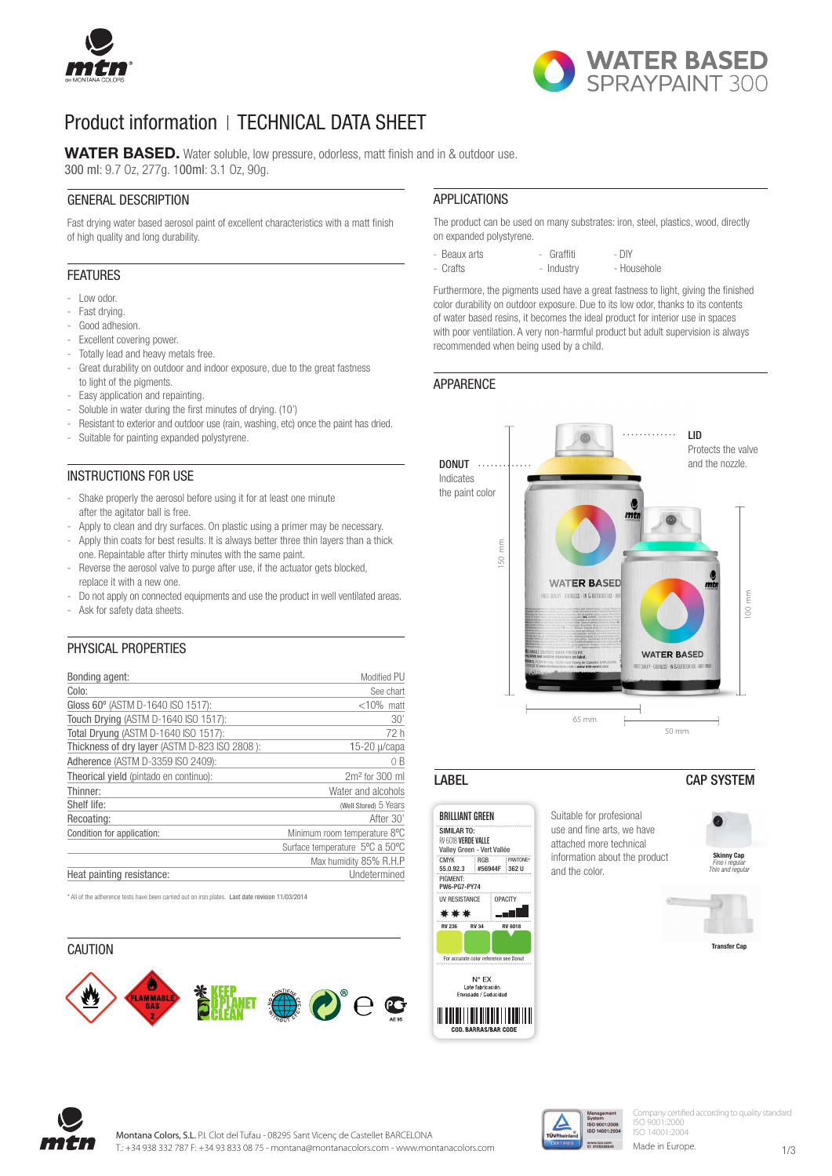



## Product information | TECHNICAL DATA SHEET

WATER BASED. Water soluble, low pressure, odorless, matt finish and in & outdoor use. 300 ml: 9.7 Oz, 277g. 100ml: 3.1 Oz, 90g.

#### GENERAL DESCRIPTION

Fast drying water based aerosol paint of excellent characteristics with a matt finish of high quality and long durability.

#### FEATURES

- Low odor.
- Fast drying.
- Good adhesion.
- Excellent covering power.
- Totally lead and heavy metals free.
- Great durability on outdoor and indoor exposure, due to the great fastness to light of the pigments.
- Easy application and repainting.
- Soluble in water during the first minutes of drying. (10')
- Resistant to exterior and outdoor use (rain, washing, etc) once the paint has dried.
- Suitable for painting expanded polystyrene.

#### INSTRUCTIONS FOR USE

- Shake properly the aerosol before using it for at least one minute after the agitator ball is free.
- Apply to clean and dry surfaces. On plastic using a primer may be necessary.
- Apply thin coats for best results. It is always better three thin layers than a thick one. Repaintable after thirty minutes with the same paint.
- Reverse the aerosol valve to purge after use, if the actuator gets blocked, replace it with a new one.
- Do not apply on connected equipments and use the product in well ventilated areas.
- Ask for safety data sheets.

#### PHYSICAL PROPERTIES

| Bonding agent:                                | Modified PU                    |
|-----------------------------------------------|--------------------------------|
| Colo:                                         | See chart                      |
| Gloss 60° (ASTM D-1640 ISO 1517):             | $<$ 10% matt                   |
| Touch Drying (ASTM D-1640 ISO 1517):          | 30'                            |
| Total Dryung (ASTM D-1640 ISO 1517):          | 72 h                           |
| Thickness of dry layer (ASTM D-823 ISO 2808): | $15-20$ µ/capa                 |
| Adherence (ASTM D-3359 ISO 2409):             | 0 B                            |
| Theorical yield (pintado en continuo):        | $2m2$ for 300 ml               |
| Thinner:                                      | Water and alcohols             |
| Shelf life:                                   | (Well Stored) 5 Years          |
| Recoating:                                    | After 30'                      |
| Condition for application:                    | Minimum room temperature 8°C   |
|                                               | Surface temperature 5°C a 50°C |
|                                               | Max humidity 85% R.H.P         |
| Heat painting resistance:                     | Undetermined                   |

\* All of the adherence tests have been carried out on iron plates. Last date revision 11/03/2014

# **CAUTION**  $\mathbf{\hat{P}}$  and  $\mathbf{\hat{P}}$   $\mathbf{\hat{P}}$   $\mathbf{\hat{P}}$   $\mathbf{\hat{P}}$   $\mathbf{\hat{P}}$

#### APPLICATIONS

The product can be used on many substrates: iron, steel, plastics, wood, directly on expanded polystyrene.

- Beaux arts - Graffiti - DIY

- Househole

Furthermore, the pigments used have a great fastness to light, giving the finished color durability on outdoor exposure. Due to its low odor, thanks to its contents of water based resins, it becomes the ideal product for interior use in spaces with poor ventilation. A very non-harmful product but adult supervision is always recommended when being used by a child.

#### APPARENCE





#### LABEL CAP SYSTEM









Company certified according to quality standard ISO 9001:2000 ISO 14001:2004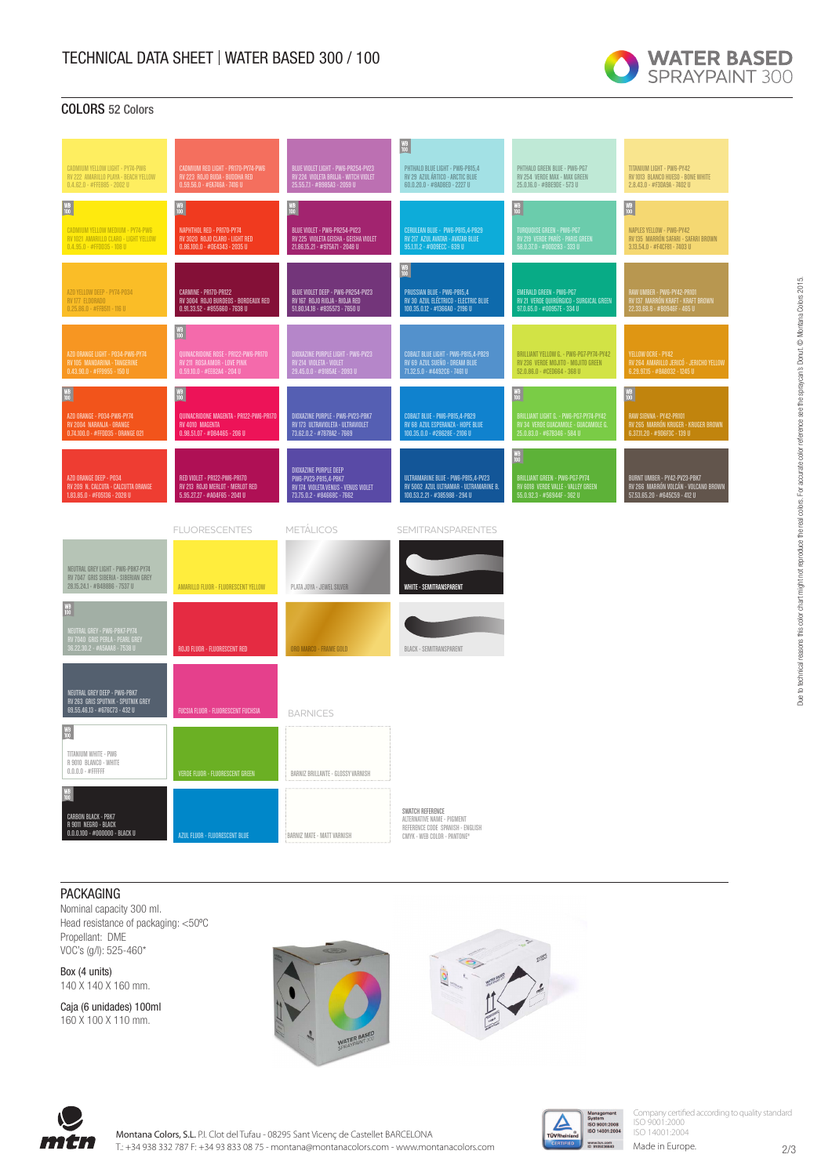

#### COLORS 52 Colors

|                                                                                                             |                                                                                                                         |                                                                                                                    | $\begin{array}{ c } \hline \text{WB} \ \text{100} \end{array}$                                                                             |                                                                                                                                 |                                                                                                       |
|-------------------------------------------------------------------------------------------------------------|-------------------------------------------------------------------------------------------------------------------------|--------------------------------------------------------------------------------------------------------------------|--------------------------------------------------------------------------------------------------------------------------------------------|---------------------------------------------------------------------------------------------------------------------------------|-------------------------------------------------------------------------------------------------------|
| CADMIUM YELLOW LIGHT - PY74-PW6<br>RV 222 AMARILLO PLAYA - BEACH YELLOW<br>$0.4.62.0 - #FFE885 - 2002U$     | CADMIUM RED LIGHT - PR170-PY74-PW6<br>RV 223  ROJO BUDA - BUDDHA RED<br>0.59.56.0 - #EA746A - 7416 U                    | BLUE VIOLET LIGHT - PW6-PR254-PV23<br>RV 224  VIOLETA BRUJA - WITCH VIOLET<br>25.55.7.1 - #B985A3 - 2059 U         | PHTHALO BLUE LIGHT - PW6-PB15,4<br>RV 29 AZUL ÁRTICO - ARCTIC BLUE<br>60.0.20.0 - #8AD8ED - 2227 U                                         | PHTHALO GREEN BLUE - PW6-PG7<br>RV 254 VERDE MAX - MAX GREEN<br>25.0.16.0 - #BBE9DE - 573 U                                     | TITANIUM LIGHT - PWG-PY42<br>RV 1013 BLANCO HUESO - BONE WHITE<br>2.8.43.0 - #F3DA9A - 7402 U         |
| $\frac{\mathsf{W}\mathsf{B}}{100}$                                                                          | $\frac{\text{WB}}{100}$                                                                                                 | $\frac{\text{WB}}{100}$                                                                                            |                                                                                                                                            | $\frac{WB}{100}$                                                                                                                | $\begin{array}{c} \text{WB} \\ \text{100} \end{array}$                                                |
| CADMIUM YELLOW MEDIUM - PY74-PW6<br>RV 1021 AMARILLO CLARO - LIGHT YELLOW<br>$0.4.95.0 - #FFDD35 - 108 U$   | NAPHTHOL RED - PR170-PY74<br>RV 3020 ROJO CLARO - LIGHT RED<br>$0.86.100.0 - #DE4343 - 2035U$                           | BLUE VIOLET - PW6-PR254-PV23<br>RV 225 VIOLETA GEISHA - GEISHA VIOLET<br>21.86.15.21 - #975A71 - 2048 U            | CERULEAN BLUE - PW6-PB15,4-PB29<br>RV 217 AZUL AVATAR - AVATAR BLUE<br>95.1.11.2 - #009ECC - 639 U                                         | TURQUOISE GREEN - PW6-PG7<br>RV 219  VERDE PARÍS - PARIS GREEN<br>58.0.37.0 - #00D2B3 - 333 U                                   | NAPLES YELLOW - PW6-PY42<br>RV 135 MARRÓN SAFARI - SAFARI BROWN<br>3.13.54.0 - #F4CF81 - 7403 U       |
| AZO YELLOW DEEP - PY74-P034<br>RV 177 ELDORADO<br>$0.25.86.0 - #FFB511 - 116 U$                             | <b>CARMINE - PR170-PR122</b><br>RV 3004 ROJO BURDEOS - BORDEAUX RED<br>$0.91.33.52 - #855660 - 7638U$                   | BLUE VIOLET DEEP - PW6-PR254-PV23<br>RV 167 ROJO RIOJA - RIOJA RED<br>51.80.14.18 - #835573 - 7650 U               | $\frac{\mathsf{W}\mathsf{B}}{100}$<br>PRUSSIAN BLUE - PW6-PB15,4<br>RV 30 AZUL ELÉCTRICO - ELECTRIC BLUE<br>100.35.0.12 - #1366A0 - 2196 U | EMERALD GREEN - PW6-PG7<br>RV 21 VERDE QUIRÚRGICO - SURGICAL GREEN<br>97.0.65.0 - #00957E - 334 U                               | RAW UMBER - PWG-PY42-PR101<br>RV 137  MARRÓN KRAFT - KRAFT BROWN<br>22.33.68.8 - #B0946F - 465 U      |
| AZO ORANGE LIGHT - PO34-PW6-PY74<br>RV 105 MANDARINA - TANGERINE<br>0.43.90.0 - #FF9955 - 150 U             | $\frac{WB}{100}$<br>QUINACRIDONE ROSE - PR122-PW6-PR170<br>RV 211  ROSA AMOR - LOVE PINK<br>0.59.10.0 - #EE82A4 - 204 U | IOXAZINE PURPLE LIGHT - PW6-PV23<br><mark>RV 214  VIOLETA - VIOLET</mark><br>29.45.0.0 - #9185AE - 2093 U          | COBALT BLUE LIGHT - PW6-PB15,4-PB29<br>RV 69 AZUL SUEÑO - DREAM BLUE<br>71.32.5.0 - #4492C6 - 7461 U                                       | BRILLIANT YELLOW G. - PW6-PG7-PY74-PY42<br>RV 236 VERDE MOJITO - MOJITO GREEN<br>52.0.86.0 - #CED664 - 368 U                    | YELLOW OCRE - PY42<br>RV 264 AMARILLO JERICÓ - JERICHO YELLOW<br>$6.29.97.15 - #BA8032 - 1245 U$      |
| $\begin{array}{c} \mathtt{WB} \\ 100 \end{array}$                                                           | $\frac{WB}{100}$                                                                                                        |                                                                                                                    |                                                                                                                                            | $\frac{\text{WB}}{100}$                                                                                                         | $\begin{array}{c} \text{WB} \\ \text{100} \end{array}$                                                |
| AZO ORANGE - PO34-PW6-PY74<br>RV 2004 NARANJA - ORANGE<br>0.74.100.0 - #FFDD35 - ORANGE 021                 | QUINACRIDONE MAGENTA - PR122-PW6-PR170<br>RV 4010 MAGENTA<br>$0.98.51.07 - #D84465 - 206 U$                             | DIOXAZINE PURPLE - PW6-PV23-PBK7<br>RV 173 ULTRAVIOLETA - ULTRAVIOLET<br>73.62.0.2 - #7878A2 - 7669                | COBALT BLUE - PW6-PB15,4-PB29<br>RV 68 AZUL ESPERANZA - HOPE BLUE<br>100.35.0.0 - #28628E - 2106 U                                         | BRILLIANT LIGHT G. - PW6-PG7-PY74-PY42<br>RV 34  VERDE GUACAMOLE - GUACAMOLE G.<br>25.0.83.0 - #67B346 - 584 U                  | RAW SIENNA - PY42-PR101<br>RV 265 MARRÓN KRUGER - KRUGER BROWN<br>6.37.11.20 - #9D6F3C - 139 U        |
| AZO ORANGE DEEP - PO34<br>RV 209 N. CALCUTA - CALCUTTA ORANGE<br>$1.83.85.0 - #F05136 - 2028U$              | RED VIOLET - PR122-PW6-PR170<br>RV 213 ROJO MERLOT - MERLOT RED<br>5.95.27.27 - #A04F65 - 2041 U                        | DIOXAZINE PURPLE DEEP<br>PW6-PV23-PB15,4-PBK7<br>RV 174 VIOLETA VENUS - VENUS VIOLET<br>73.75.0.2 - #84668C - 7662 | ULTRAMARINE BLUE - PW6-PB15,4-PV23<br>RV 5002 AZUL ULTRAMAR - ULTRAMARINE B.<br>100.53.2.21 - #385988 - 294 U                              | $\frac{\text{WB}}{100}$<br>BRILLIANT GREEN - PW6-PG7-PY74<br>RV 6018  VERDE VALLE - VALLEY GREEN<br>55.0.92.3 - #56944F - 362 U | BURNT UMBER - PY42-PV23-PBK7<br>RV 266 MARRÓN VOLCÁN - VOLCANO BROWN<br>57.53.65.20 - #645C59 - 412 U |
|                                                                                                             | <b>FLUORESCENTES</b>                                                                                                    | <b>METALICOS</b>                                                                                                   | <b>SEMITRANSPARENTES</b>                                                                                                                   |                                                                                                                                 |                                                                                                       |
| NEUTRAL GREY LIGHT - PWG-PBK7-PY74<br>RV 7047 GRIS SIBERIA - SIBERIAN GREY<br>28.15.24.1 - #B4B8B6 - 7537 U | AMARILLO FLUOR - FLUORESCENT YELLOW                                                                                     | PLATA JOYA - JEWEL SILVER                                                                                          | <b>WHITE - SEMITRANSPARENT</b>                                                                                                             |                                                                                                                                 |                                                                                                       |
| $\frac{WB}{100}$                                                                                            |                                                                                                                         |                                                                                                                    |                                                                                                                                            |                                                                                                                                 |                                                                                                       |
| NEUTRAL GREY - PW6-PBK7-PY74<br>RV 7040  GRIS PERLA - PEARL GREY<br>36.22.30.2 - #A5AAA8 - 7538 U           | ROJO FLUOR - FLUORESCENT RED                                                                                            | ORO MARCO - FRAME GOLD                                                                                             | <b>BLACK - SEMITRANSPARENT</b>                                                                                                             |                                                                                                                                 |                                                                                                       |
| NEUTRAL GREY DEEP - PW6-PBK7<br>RV 263 GRIS SPUTNIK - SPUTNIK GREY<br>69.55.46.13 - #676C73 - 432 U         | <b>FUCSIA FLUOR - FLUORESCENT FUCHSIA</b>                                                                               | <b>BARNICES</b>                                                                                                    |                                                                                                                                            |                                                                                                                                 |                                                                                                       |
| $\begin{array}{c}\n\text{WB} \\ \text{100}\n\end{array}$<br>TITANIUM WHITE - PW6<br>R 9010 BLANCO - WHITE   |                                                                                                                         |                                                                                                                    |                                                                                                                                            |                                                                                                                                 |                                                                                                       |
| $0.0.0.0 - #$ FFFFFF                                                                                        | VERDE FLUOR - FLUORESCENT GREEN                                                                                         | BARNIZ BRILLANTE - GLOSSY VARNISH                                                                                  |                                                                                                                                            |                                                                                                                                 |                                                                                                       |
| CARBON BLACK - PBK7<br>R 9011 NEGRO - BLACK<br>$0.0.0.100 - #000000 -  \text{BLACK U}$                      | AZUL FLUOR - FLUORESCENT BLUE                                                                                           | BARNIZ MATE - MATT VARNISH                                                                                         | SWATCH REFERENCE<br>ALTERNATIVE NAME - PIGMENT<br>REFERENCE CODE SPANISH - ENGLISH<br>CMYK - WEB COLOR - PANTONE®                          |                                                                                                                                 |                                                                                                       |

#### PACKAGING

Nominal capacity 300 ml. Head resistance of packaging: <50ºC Propellant: DME VOC's (g/l): 525-460\*

Box (4 units) 140 X 140 X 160 mm.

Caja (6 unidades) 100ml 160 X 100 X 110 mm.







Company certified according to quality standard ISO 9001:2000 ISO 14001:2004

Made in Europe.

2/3